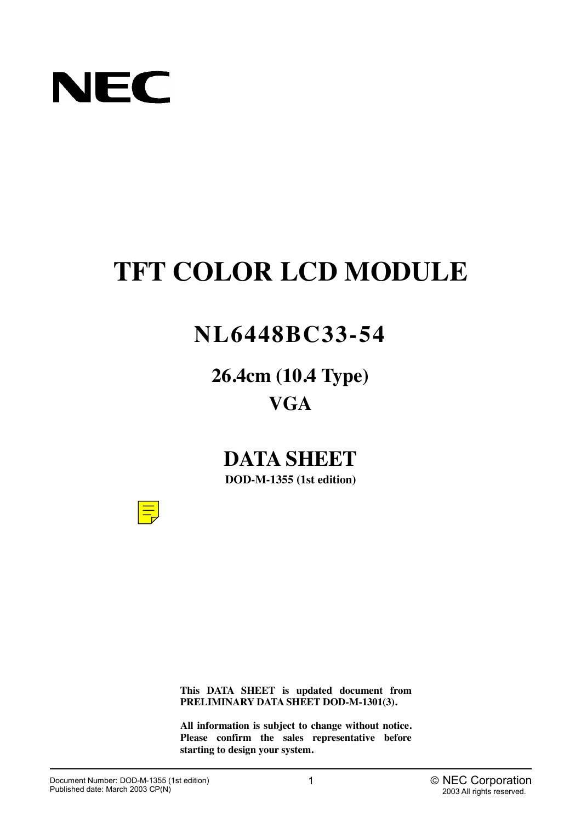

# **TFT COLOR LCD MODULE**

# **NL6448BC33-54**

**26.4cm (10.4 Type) VGA**

# **DATA SHEET**

**DOD-M-1355 (1st edition)**



**This DATA SHEET is updated document from PRELIMINARY DATA SHEET DOD-M-1301(3).**

**All information is subject to change without notice. Please confirm the sales representative before starting to design your system.**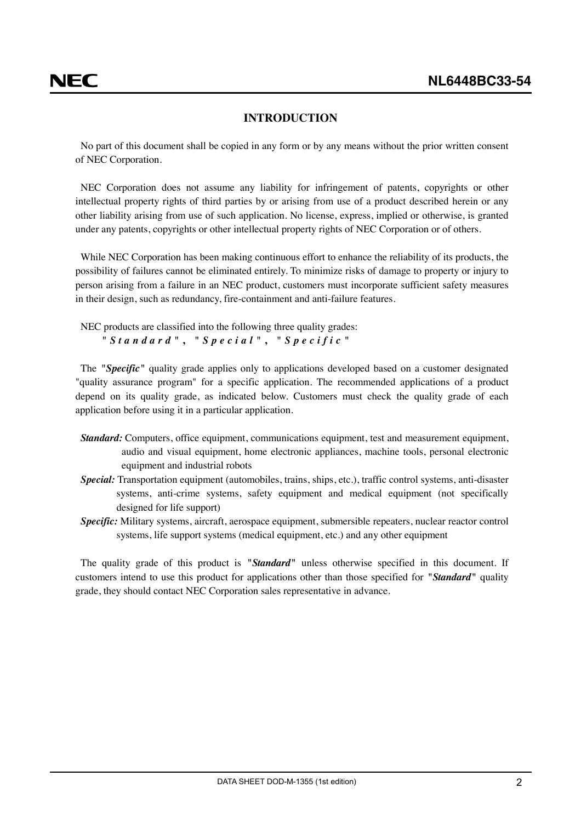#### **INTRODUCTION**

<span id="page-1-0"></span>No part of this document shall be copied in any form or by any means without the prior written consent of NEC Corporation.

NEC Corporation does not assume any liability for infringement of patents, copyrights or other intellectual property rights of third parties by or arising from use of a product described herein or any other liability arising from use of such application. No license, express, implied or otherwise, is granted under any patents, copyrights or other intellectual property rights of NEC Corporation or of others.

While NEC Corporation has been making continuous effort to enhance the reliability of its products, the possibility of failures cannot be eliminated entirely. To minimize risks of damage to property or injury to person arising from a failure in an NEC product, customers must incorporate sufficient safety measures in their design, such as redundancy, fire-containment and anti-failure features.

NEC products are classified into the following three quality grades: *"Standard"* **,** *"Special"* **,** *"Specific"*

The *"Specific"* quality grade applies only to applications developed based on a customer designated "quality assurance program" for a specific application. The recommended applications of a product depend on its quality grade, as indicated below. Customers must check the quality grade of each application before using it in a particular application.

- *Standard:* Computers, office equipment, communications equipment, test and measurement equipment, audio and visual equipment, home electronic appliances, machine tools, personal electronic equipment and industrial robots
- *Special:* Transportation equipment (automobiles, trains, ships, etc.), traffic control systems, anti-disaster systems, anti-crime systems, safety equipment and medical equipment (not specifically designed for life support)
- *Specific:* Military systems, aircraft, aerospace equipment, submersible repeaters, nuclear reactor control systems, life support systems (medical equipment, etc.) and any other equipment

The quality grade of this product is *"Standard"* unless otherwise specified in this document. If customers intend to use this product for applications other than those specified for *"Standard"* quality grade, they should contact NEC Corporation sales representative in advance.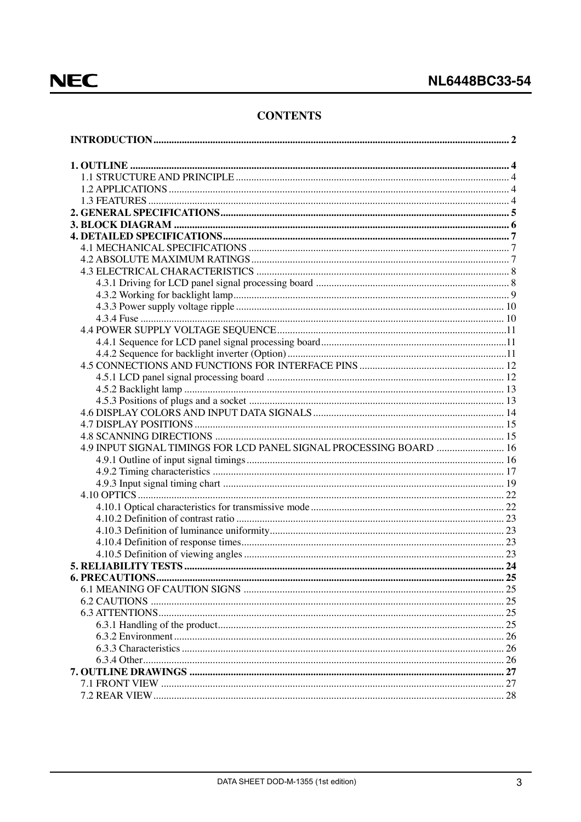### **CONTENTS**

| 4.9 INPUT SIGNAL TIMINGS FOR LCD PANEL SIGNAL PROCESSING BOARD  16 |  |
|--------------------------------------------------------------------|--|
|                                                                    |  |
|                                                                    |  |
|                                                                    |  |
|                                                                    |  |
|                                                                    |  |
|                                                                    |  |
|                                                                    |  |
|                                                                    |  |
|                                                                    |  |
|                                                                    |  |
|                                                                    |  |
|                                                                    |  |
|                                                                    |  |
|                                                                    |  |
|                                                                    |  |
|                                                                    |  |
|                                                                    |  |
|                                                                    |  |
|                                                                    |  |
|                                                                    |  |
|                                                                    |  |
|                                                                    |  |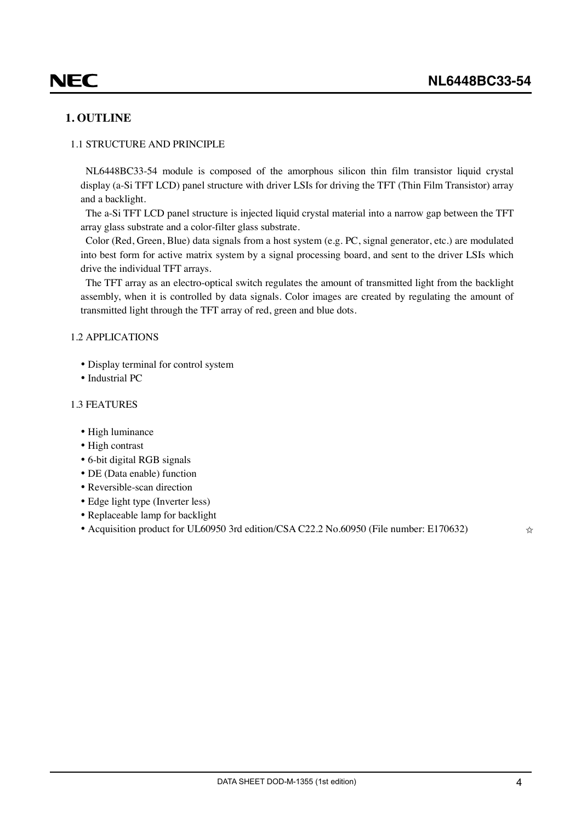### <span id="page-3-0"></span>**1. OUTLINE**

#### 1.1 STRUCTURE AND PRINCIPLE

NL6448BC33-54 module is composed of the amorphous silicon thin film transistor liquid crystal display (a-Si TFT LCD) panel structure with driver LSIs for driving the TFT (Thin Film Transistor) array and a backlight.

The a-Si TFT LCD panel structure is injected liquid crystal material into a narrow gap between the TFT array glass substrate and a color-filter glass substrate.

Color (Red, Green, Blue) data signals from a host system (e.g. PC, signal generator, etc.) are modulated into best form for active matrix system by a signal processing board, and sent to the driver LSIs which drive the individual TFT arrays.

The TFT array as an electro-optical switch regulates the amount of transmitted light from the backlight assembly, when it is controlled by data signals. Color images are created by regulating the amount of transmitted light through the TFT array of red, green and blue dots.

#### 1.2 APPLICATIONS

- Display terminal for control system
- Industrial PC

#### 1.3 FEATURES

- High luminance
- High contrast
- 6-bit digital RGB signals
- DE (Data enable) function
- Reversible-scan direction
- Edge light type (Inverter less)
- Replaceable lamp for backlight
- Acquisition product for UL60950 3rd edition/CSA C22.2 No.60950 (File number: E170632)  $\star$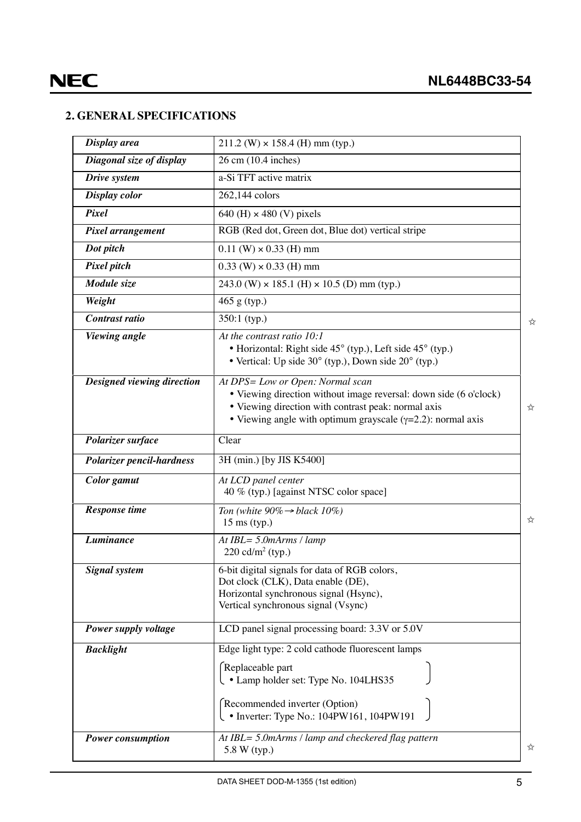### <span id="page-4-0"></span>**2. GENERAL SPECIFICATIONS**

| Display area               | $211.2$ (W) $\times$ 158.4 (H) mm (typ.)                                                                                                                                                                                            |                              |  |  |
|----------------------------|-------------------------------------------------------------------------------------------------------------------------------------------------------------------------------------------------------------------------------------|------------------------------|--|--|
| Diagonal size of display   | 26 cm (10.4 inches)                                                                                                                                                                                                                 |                              |  |  |
| Drive system               | a-Si TFT active matrix                                                                                                                                                                                                              |                              |  |  |
| Display color              | 262,144 colors                                                                                                                                                                                                                      |                              |  |  |
| Pixel                      | 640 (H) $\times$ 480 (V) pixels                                                                                                                                                                                                     |                              |  |  |
| Pixel arrangement          | RGB (Red dot, Green dot, Blue dot) vertical stripe                                                                                                                                                                                  |                              |  |  |
| Dot pitch                  | $0.11$ (W) $\times$ 0.33 (H) mm                                                                                                                                                                                                     |                              |  |  |
| Pixel pitch                | $0.33$ (W) $\times$ 0.33 (H) mm                                                                                                                                                                                                     |                              |  |  |
| Module size                | 243.0 (W) $\times$ 185.1 (H) $\times$ 10.5 (D) mm (typ.)                                                                                                                                                                            |                              |  |  |
| Weight                     | $465$ g (typ.)                                                                                                                                                                                                                      |                              |  |  |
| Contrast ratio             | $350:1$ (typ.)                                                                                                                                                                                                                      | ☆                            |  |  |
| <b>Viewing</b> angle       | At the contrast ratio 10:1<br>• Horizontal: Right side 45° (typ.), Left side 45° (typ.)<br>• Vertical: Up side 30° (typ.), Down side 20° (typ.)                                                                                     |                              |  |  |
| Designed viewing direction | At DPS= Low or Open: Normal scan<br>• Viewing direction without image reversal: down side (6 o'clock)<br>• Viewing direction with contrast peak: normal axis<br>☆<br>• Viewing angle with optimum grayscale $(y=2.2)$ : normal axis |                              |  |  |
| Polarizer surface          | Clear                                                                                                                                                                                                                               |                              |  |  |
| Polarizer pencil-hardness  | 3H (min.) [by JIS K5400]                                                                                                                                                                                                            |                              |  |  |
| Color gamut                | At LCD panel center<br>40 % (typ.) [against NTSC color space]                                                                                                                                                                       |                              |  |  |
| <b>Response time</b>       | Ton (white $90\% \rightarrow black 10\%$ )<br>$15 \text{ ms (typ.)}$                                                                                                                                                                | $\stackrel{\wedge}{\bowtie}$ |  |  |
| <b>Luminance</b>           | At $IBL = 5.0$ m $Arms / lamp$<br>220 cd/ $m^2$ (typ.)                                                                                                                                                                              |                              |  |  |
| <b>Signal system</b>       | 6-bit digital signals for data of RGB colors,<br>Dot clock (CLK), Data enable (DE),<br>Horizontal synchronous signal (Hsync),<br>Vertical synchronous signal (Vsync)                                                                |                              |  |  |
| Power supply voltage       | LCD panel signal processing board: 3.3V or 5.0V                                                                                                                                                                                     |                              |  |  |
| <b>Backlight</b>           | Edge light type: 2 cold cathode fluorescent lamps<br>Replaceable part<br>$\Box$ • Lamp holder set: Type No. 104LHS35                                                                                                                |                              |  |  |
|                            | Recommended inverter (Option)<br>• Inverter: Type No.: 104PW161, 104PW191                                                                                                                                                           |                              |  |  |
| <b>Power consumption</b>   | At IBL= 5.0mArms / lamp and checkered flag pattern<br>5.8 W (typ.)                                                                                                                                                                  | ☆                            |  |  |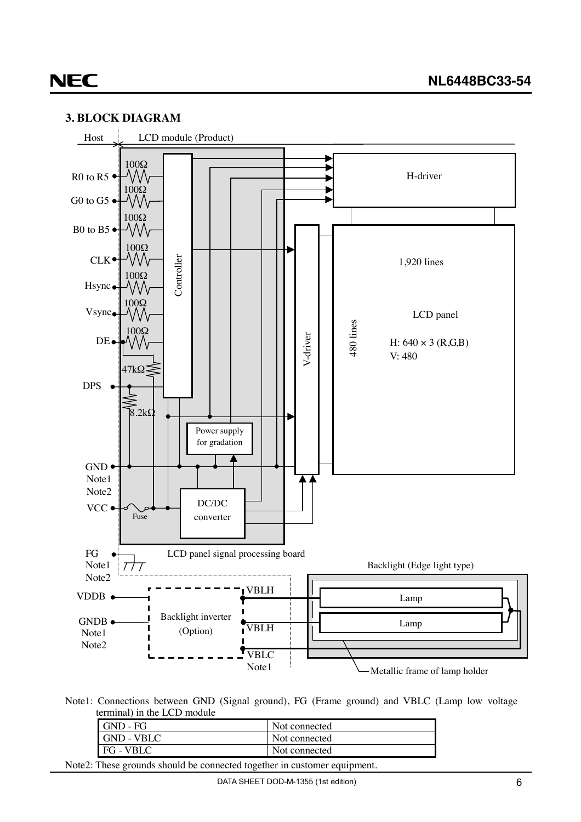

#### <span id="page-5-0"></span>**3. BLOCK DIAGRAM**

Note1: Connections between GND (Signal ground), FG (Frame ground) and VBLC (Lamp low voltage terminal) in the LCD module

| GND - FG          | Not connected |
|-------------------|---------------|
| <b>GND - VBLC</b> | Not connected |
| <b>FG</b> - VBLC  | Not connected |
| <b>PERSON</b>     |               |

Note2: These grounds should be connected together in customer equipment.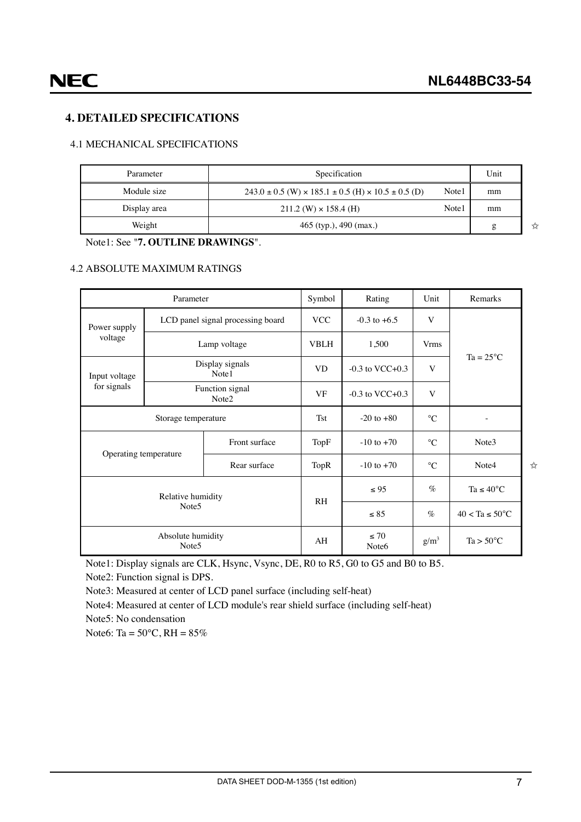✩

 $x^2$ 

#### <span id="page-6-0"></span>**4. DETAILED SPECIFICATIONS**

#### 4.1 MECHANICAL SPECIFICATIONS

| Parameter    | Specification                                                                |       | Unit |
|--------------|------------------------------------------------------------------------------|-------|------|
| Module size  | $243.0 \pm 0.5$ (W) $\times$ 185.1 $\pm$ 0.5 (H) $\times$ 10.5 $\pm$ 0.5 (D) | Note1 | mm   |
| Display area | $211.2$ (W) $\times$ 158.4 (H)                                               | Note1 | mm   |
| Weight       | $465$ (typ.), $490$ (max.)                                                   |       | g    |

Note1: See "**7. OUTLINE DRAWINGS**".

#### 4.2 ABSOLUTE MAXIMUM RATINGS

| Parameter                              |                                   |                          | Symbol         | Rating                         | Unit        | Remarks                    |  |
|----------------------------------------|-----------------------------------|--------------------------|----------------|--------------------------------|-------------|----------------------------|--|
| Power supply                           | LCD panel signal processing board |                          | <b>VCC</b>     | $-0.3$ to $+6.5$               | V           |                            |  |
| voltage                                |                                   | Lamp voltage             | <b>VBLH</b>    | 1,500                          | <b>Vrms</b> |                            |  |
| Input voltage                          |                                   | Display signals<br>Note1 | <b>VD</b>      | $-0.3$ to VCC $+0.3$           | V           | $Ta = 25^{\circ}C$         |  |
| for signals                            | Function signal<br>Note2          |                          | <b>VF</b>      | $-0.3$ to VCC $+0.3$           | V           |                            |  |
| Storage temperature                    |                                   |                          | <b>Tst</b>     | $-20$ to $+80$                 | $^{\circ}C$ |                            |  |
|                                        | Front surface                     |                          | TopF           | $-10$ to $+70$                 | $^{\circ}C$ | Note3                      |  |
| Operating temperature                  |                                   | Rear surface             | TopR           | $-10$ to $+70$                 | $^{\circ}C$ | Note4                      |  |
| Relative humidity<br>Note <sub>5</sub> |                                   |                          | R <sub>H</sub> | $\leq 95$                      | $\%$        | Ta $\leq 40^{\circ}$ C     |  |
|                                        |                                   |                          |                | $\leq 85$                      | $\%$        | $40 < Ta \leq 50^{\circ}C$ |  |
| Absolute humidity<br>Note <sub>5</sub> |                                   |                          | AH             | $\leq 70$<br>Note <sub>6</sub> | $g/m^3$     | $Ta > 50^{\circ}C$         |  |

Note1: Display signals are CLK, Hsync, Vsync, DE, R0 to R5, G0 to G5 and B0 to B5.

Note2: Function signal is DPS.

Note3: Measured at center of LCD panel surface (including self-heat)

Note4: Measured at center of LCD module's rear shield surface (including self-heat)

Note5: No condensation

Note6: Ta =  $50^{\circ}$ C, RH =  $85\%$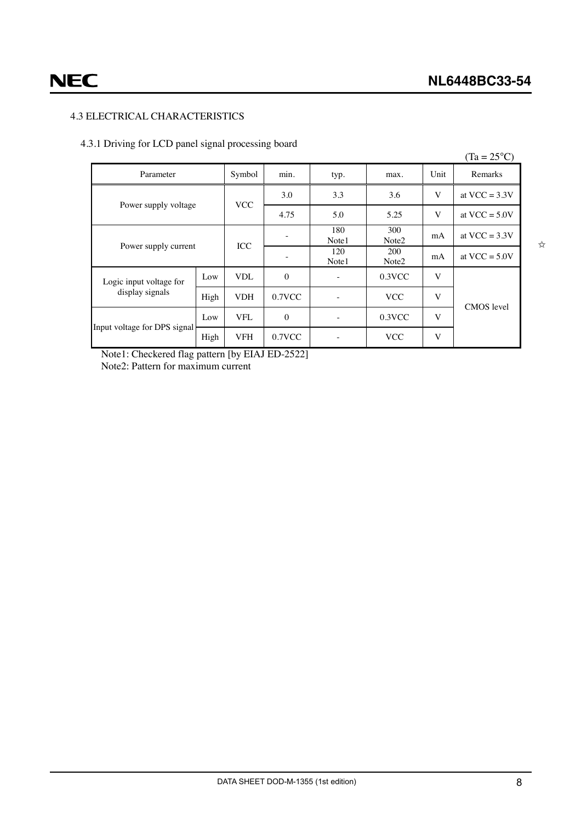#### <span id="page-7-0"></span>4.3 ELECTRICAL CHARACTERISTICS

#### 4.3.1 Driving for LCD panel signal processing board

|                              |      |            |              |              |                                 |      | $(Ta = 25^{\circ}C)$ |
|------------------------------|------|------------|--------------|--------------|---------------------------------|------|----------------------|
| Parameter                    |      | Symbol     | min.         | typ.         | max.                            | Unit | Remarks              |
|                              |      |            | 3.0          | 3.3          | 3.6                             | V    | at VCC = $3.3V$      |
| Power supply voltage         |      | <b>VCC</b> | 4.75         | 5.0          | 5.25                            | V    | at VCC = $5.0V$      |
| Power supply current         |      | <b>ICC</b> |              | 180<br>Note1 | 300<br>Note <sub>2</sub>        | mA   | at VCC = $3.3V$      |
|                              |      |            |              | 120<br>Note1 | <b>200</b><br>Note <sub>2</sub> | mA   | at $VCC = 5.0V$      |
| Logic input voltage for      | Low  | <b>VDL</b> | $\mathbf{0}$ |              | $0.3$ VCC                       | V    |                      |
| display signals              | High | <b>VDH</b> | $0.7$ VCC    |              | <b>VCC</b>                      | V    | <b>CMOS</b> level    |
| Input voltage for DPS signal | Low  | <b>VFL</b> | $\mathbf{0}$ |              | 0.3VCC                          | V    |                      |
|                              | High | VFH        | $0.7$ VCC    |              | <b>VCC</b>                      | V    |                      |

Note1: Checkered flag pattern [by EIAJ ED-2522] Note2: Pattern for maximum current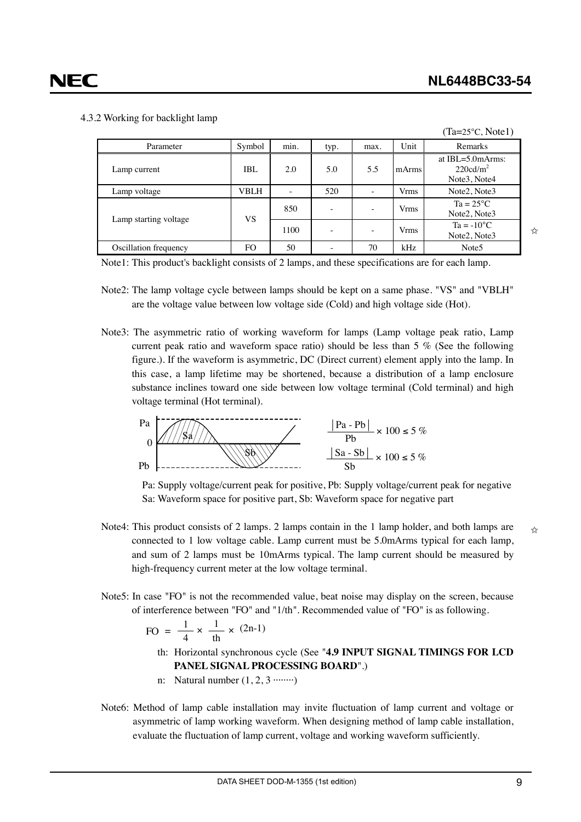$(T_0-25\degree C, \text{Nota1})$ 

#### <span id="page-8-0"></span>4.3.2 Working for backlight lamp

|                       |        |                 |      |                          |       | $1a - 2J \cup 1$                                              |
|-----------------------|--------|-----------------|------|--------------------------|-------|---------------------------------------------------------------|
| Parameter             | Symbol | $\cdot$<br>min. | typ. | max.                     | Unit  | Remarks                                                       |
| Lamp current          | IBL    | 2.0             | 5.0  | 5.5                      | mArms | at $IBL = 5.0$ mArms:<br>220cd/m <sup>2</sup><br>Note3, Note4 |
| Lamp voltage          | VBLH   |                 | 520  | $\overline{\phantom{a}}$ | Vrms  | Note2, Note3                                                  |
|                       |        | 850             | ۰    | $\overline{\phantom{a}}$ | Vrms  | $Ta = 25^{\circ}C$<br>Note2, Note3                            |
| Lamp starting voltage | VS     | 1100            | ۰    | $\overline{\phantom{a}}$ | Vrms  | $Ta = -10^{\circ}C$<br>Note2, Note3                           |
| Oscillation frequency | FO     | 50              |      | 70                       | kHz   | Note <sub>5</sub>                                             |

Note1: This product's backlight consists of 2 lamps, and these specifications are for each lamp.

- Note2: The lamp voltage cycle between lamps should be kept on a same phase. "VS" and "VBLH" are the voltage value between low voltage side (Cold) and high voltage side (Hot).
- Note3: The asymmetric ratio of working waveform for lamps (Lamp voltage peak ratio, Lamp current peak ratio and waveform space ratio) should be less than 5 % (See the following figure.). If the waveform is asymmetric, DC (Direct current) element apply into the lamp. In this case, a lamp lifetime may be shortened, because a distribution of a lamp enclosure substance inclines toward one side between low voltage terminal (Cold terminal) and high voltage terminal (Hot terminal).



Pa: Supply voltage/current peak for positive, Pb: Supply voltage/current peak for negative Sa: Waveform space for positive part, Sb: Waveform space for negative part

- Note4: This product consists of 2 lamps. 2 lamps contain in the 1 lamp holder, and both lamps are connected to 1 low voltage cable. Lamp current must be 5.0mArms typical for each lamp, and sum of 2 lamps must be 10mArms typical. The lamp current should be measured by high-frequency current meter at the low voltage terminal.
- Note5: In case "FO" is not the recommended value, beat noise may display on the screen, because of interference between "FO" and "1/th". Recommended value of "FO" is as following.

$$
FO = \frac{1}{4} \times \frac{1}{th} \times (2n-1)
$$

- th: Horizontal synchronous cycle (See "**4.9 INPUT SIGNAL TIMINGS FOR LCD PANEL SIGNAL PROCESSING BOARD**".)
- n: Natural number  $(1, 2, 3 \cdots \cdots)$
- Note6: Method of lamp cable installation may invite fluctuation of lamp current and voltage or asymmetric of lamp working waveform. When designing method of lamp cable installation, evaluate the fluctuation of lamp current, voltage and working waveform sufficiently.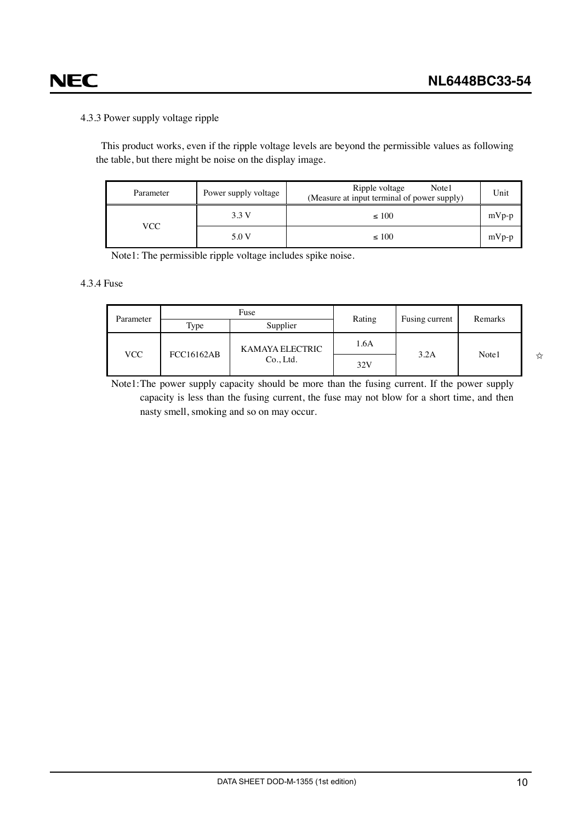## <span id="page-9-0"></span>**NEC**

#### 4.3.3 Power supply voltage ripple

This product works, even if the ripple voltage levels are beyond the permissible values as following the table, but there might be noise on the display image.

| Parameter | Power supply voltage | Ripple voltage<br>Note1<br>(Measure at input terminal of power supply) | Unit    |
|-----------|----------------------|------------------------------------------------------------------------|---------|
|           | 3.3 V                | $\leq 100$                                                             | $mVp-p$ |
| VCC       | 5.0 V                | $\leq 100$                                                             | $mVp-p$ |

Note1: The permissible ripple voltage includes spike noise.

#### 4.3.4 Fuse

| Parameter |                                | Fuse            | Rating | Fusing current | Remarks |
|-----------|--------------------------------|-----------------|--------|----------------|---------|
|           | Type                           | Supplier        |        |                |         |
| VCC.      |                                | KAMAYA ELECTRIC | 1.6A   | 3.2A           | Note1   |
|           | <b>FCC16162AB</b><br>Co., Ltd. |                 | 32V    |                |         |

Note1:The power supply capacity should be more than the fusing current. If the power supply capacity is less than the fusing current, the fuse may not blow for a short time, and then nasty smell, smoking and so on may occur.

✩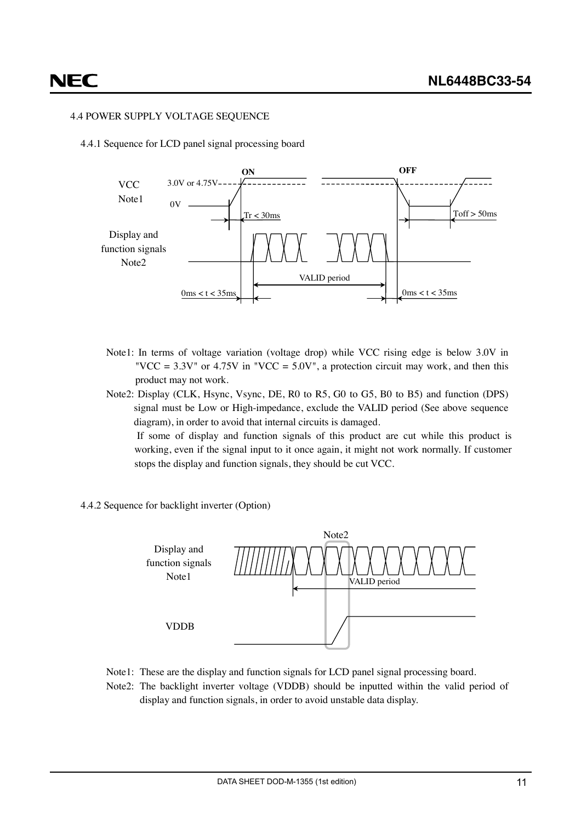#### <span id="page-10-0"></span>4.4 POWER SUPPLY VOLTAGE SEQUENCE

4.4.1 Sequence for LCD panel signal processing board



- Note1: In terms of voltage variation (voltage drop) while VCC rising edge is below 3.0V in "VCC =  $3.3V$ " or  $4.75V$  in "VCC =  $5.0V$ ", a protection circuit may work, and then this product may not work.
- Note2: Display (CLK, Hsync, Vsync, DE, R0 to R5, G0 to G5, B0 to B5) and function (DPS) signal must be Low or High-impedance, exclude the VALID period (See above sequence diagram), in order to avoid that internal circuits is damaged.

If some of display and function signals of this product are cut while this product is working, even if the signal input to it once again, it might not work normally. If customer stops the display and function signals, they should be cut VCC.

4.4.2 Sequence for backlight inverter (Option)



- Note1: These are the display and function signals for LCD panel signal processing board.
- Note2: The backlight inverter voltage (VDDB) should be inputted within the valid period of display and function signals, in order to avoid unstable data display.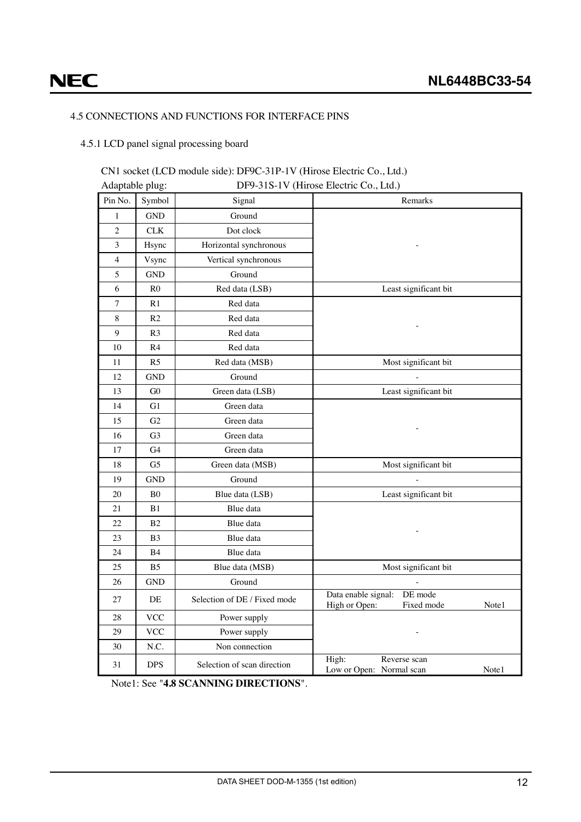## <span id="page-11-0"></span>**NEC**

#### 4.5 CONNECTIONS AND FUNCTIONS FOR INTERFACE PINS

#### 4.5.1 LCD panel signal processing board

#### CN1 socket (LCD module side): DF9C-31P-1V (Hirose Electric Co., Ltd.)  $\overrightarrow{P}$

| Adaptable plug:<br>DF9-31S-1V (Hirose Electric Co., Ltd.) |                |                              |                                                                        |  |  |  |  |
|-----------------------------------------------------------|----------------|------------------------------|------------------------------------------------------------------------|--|--|--|--|
| Pin No.                                                   | Symbol         | Signal                       | Remarks                                                                |  |  |  |  |
| $\mathbf{1}$                                              | <b>GND</b>     | Ground                       |                                                                        |  |  |  |  |
| $\overline{c}$                                            | <b>CLK</b>     | Dot clock                    |                                                                        |  |  |  |  |
| 3                                                         | Hsync          | Horizontal synchronous       |                                                                        |  |  |  |  |
| 4                                                         | Vsync          | Vertical synchronous         |                                                                        |  |  |  |  |
| 5                                                         | <b>GND</b>     | Ground                       |                                                                        |  |  |  |  |
| 6                                                         | R <sub>0</sub> | Red data (LSB)               | Least significant bit                                                  |  |  |  |  |
| $\overline{7}$                                            | R1             | Red data                     |                                                                        |  |  |  |  |
| 8                                                         | R <sub>2</sub> | Red data                     |                                                                        |  |  |  |  |
| 9                                                         | R <sub>3</sub> | Red data                     |                                                                        |  |  |  |  |
| 10                                                        | R4             | Red data                     |                                                                        |  |  |  |  |
| 11                                                        | R <sub>5</sub> | Red data (MSB)               | Most significant bit                                                   |  |  |  |  |
| 12                                                        | GND            | Ground                       |                                                                        |  |  |  |  |
| 13                                                        | G <sub>0</sub> | Green data (LSB)             | Least significant bit                                                  |  |  |  |  |
| 14                                                        | G1             | Green data                   |                                                                        |  |  |  |  |
| 15                                                        | G2             | Green data                   |                                                                        |  |  |  |  |
| 16                                                        | G3             | Green data                   |                                                                        |  |  |  |  |
| 17                                                        | G4             | Green data                   |                                                                        |  |  |  |  |
| 18                                                        | G <sub>5</sub> | Green data (MSB)             | Most significant bit                                                   |  |  |  |  |
| 19                                                        | <b>GND</b>     | Ground                       |                                                                        |  |  |  |  |
| 20                                                        | B <sub>0</sub> | Blue data (LSB)              | Least significant bit                                                  |  |  |  |  |
| 21                                                        | B1             | Blue data                    |                                                                        |  |  |  |  |
| 22                                                        | B <sub>2</sub> | Blue data                    |                                                                        |  |  |  |  |
| 23                                                        | <b>B</b> 3     | Blue data                    |                                                                        |  |  |  |  |
| 24                                                        | <b>B</b> 4     | Blue data                    |                                                                        |  |  |  |  |
| 25                                                        | B5             | Blue data (MSB)              | Most significant bit                                                   |  |  |  |  |
| 26                                                        | <b>GND</b>     | Ground                       |                                                                        |  |  |  |  |
| 27                                                        | DE             | Selection of DE / Fixed mode | Data enable signal:<br>DE mode<br>High or Open:<br>Fixed mode<br>Note1 |  |  |  |  |
| 28                                                        | <b>VCC</b>     | Power supply                 |                                                                        |  |  |  |  |
| 29                                                        | <b>VCC</b>     | Power supply                 |                                                                        |  |  |  |  |
| 30                                                        | N.C.           | Non connection               |                                                                        |  |  |  |  |
| 31                                                        | <b>DPS</b>     | Selection of scan direction  | High:<br>Reverse scan<br>Low or Open: Normal scan<br>Note1             |  |  |  |  |

Note1: See "**4.8 SCANNING DIRECTIONS**".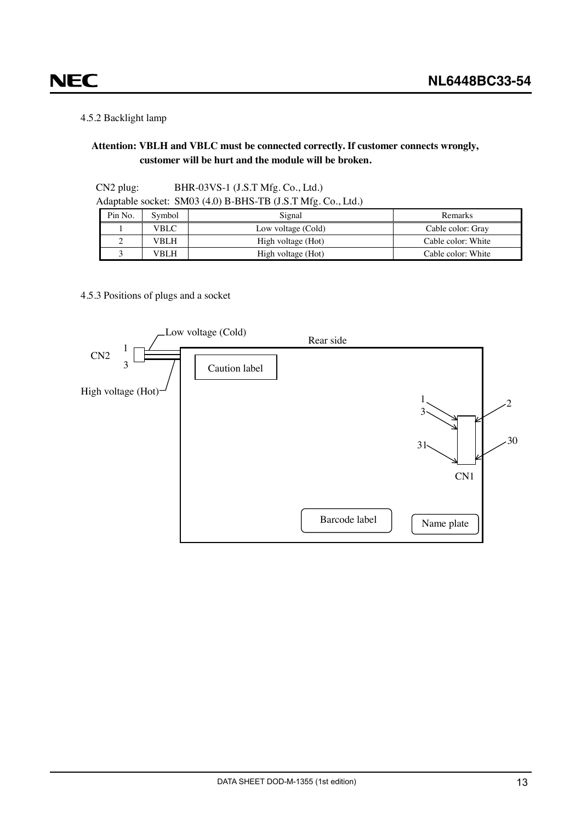#### 4.5.2 Backlight lamp

<span id="page-12-0"></span>**NEC** 

#### **Attention: VBLH and VBLC must be connected correctly. If customer connects wrongly, customer will be hurt and the module will be broken.**

| $CN2$ plug: | BHR-03VS-1 $(J.S.T Mfg.Co., Ltd.)$                           |
|-------------|--------------------------------------------------------------|
|             | Adaptable socket: SM03 (4.0) B-BHS-TB (J.S.T Mfg. Co., Ltd.) |

| Pin No. | Symbol | Signal             | Remarks            |
|---------|--------|--------------------|--------------------|
|         | VBLC   | Low voltage (Cold) | Cable color: Gray  |
|         | VBLH   | High voltage (Hot) | Cable color: White |
|         | VBLH   | High voltage (Hot) | Cable color: White |

#### 4.5.3 Positions of plugs and a socket

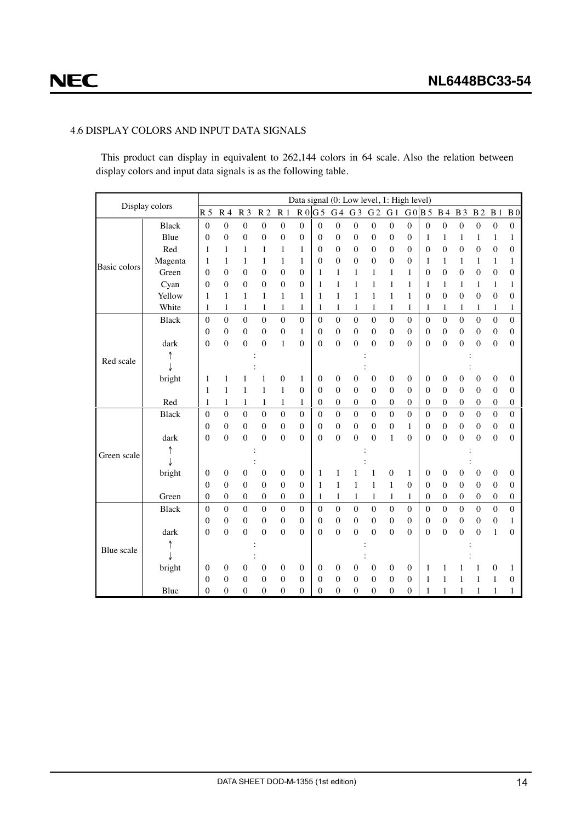#### <span id="page-13-0"></span>4.6 DISPLAY COLORS AND INPUT DATA SIGNALS

This product can display in equivalent to 262,144 colors in 64 scale. Also the relation between display colors and input data signals is as the following table.

| Display colors |              | Data signal (0: Low level, 1: High level) |                          |                                  |                                |                                  |                              |                          |                              |                       |                  |                              |                     |                              |                                |                                    |                     |                              |                                  |
|----------------|--------------|-------------------------------------------|--------------------------|----------------------------------|--------------------------------|----------------------------------|------------------------------|--------------------------|------------------------------|-----------------------|------------------|------------------------------|---------------------|------------------------------|--------------------------------|------------------------------------|---------------------|------------------------------|----------------------------------|
|                |              | R <sub>5</sub>                            | R <sub>4</sub>           | R <sub>3</sub>                   | R <sub>2</sub>                 | R <sub>1</sub>                   |                              | $R0$ G 5                 |                              |                       | G4 G3 G2         | G <sub>1</sub>               |                     | G0B5                         | <b>B</b> 4                     | <b>B</b> 3                         | $\, {\bf B}$ 2      | B <sub>1</sub>               | B <sub>0</sub>                   |
|                | <b>Black</b> | $\mathbf{0}$                              | $\overline{0}$           | $\boldsymbol{0}$                 | $\boldsymbol{0}$               | $\boldsymbol{0}$                 | $\boldsymbol{0}$             | $\boldsymbol{0}$         | $\boldsymbol{0}$             | $\boldsymbol{0}$      | $\boldsymbol{0}$ | $\boldsymbol{0}$             | $\overline{0}$      | $\boldsymbol{0}$             | $\boldsymbol{0}$               | $\boldsymbol{0}$                   | $\boldsymbol{0}$    | $\boldsymbol{0}$             | $\boldsymbol{0}$                 |
|                | Blue         | $\mathbf{0}$                              | $\overline{0}$           | $\boldsymbol{0}$                 | $\boldsymbol{0}$               | $\overline{0}$                   | $\boldsymbol{0}$             | $\mathbf{0}$             | $\boldsymbol{0}$             | $\boldsymbol{0}$      | 0                | $\boldsymbol{0}$             | $\mathbf{0}$        | 1                            | 1                              | $\mathbf{1}$                       | 1                   | 1                            | $\mathbf{1}$                     |
|                | Red          | 1                                         | $\mathbf{1}$             | $\mathbf{1}$                     | $\mathbf{1}$                   | 1                                | $\mathbf{1}$                 | $\mathbf{0}$             | $\mathbf{0}$                 | $\boldsymbol{0}$      | 0                | $\boldsymbol{0}$             | $\overline{0}$      | $\mathbf{0}$                 | $\boldsymbol{0}$               | $\mathbf{0}$                       | $\mathbf 0$         | $\boldsymbol{0}$             | $\mathbf{0}$                     |
| Basic colors   | Magenta      | 1                                         | 1                        | 1                                | 1                              | 1                                | 1                            | $\theta$                 | $\overline{0}$               | $\boldsymbol{0}$      | 0                | $\mathbf{0}$                 | $\theta$            | 1                            | 1                              | 1                                  | 1                   | 1                            | 1                                |
|                | Green        | $\theta$                                  | $\theta$                 | $\mathbf{0}$                     | $\mathbf{0}$                   | $\overline{0}$                   | $\theta$                     | $\mathbf{1}$             | $\mathbf{1}$                 | $\mathbf{1}$          | 1                | $\mathbf{1}$                 | $\mathbf{1}$        | $\mathbf{0}$                 | $\boldsymbol{0}$               | $\boldsymbol{0}$                   | $\overline{0}$      | $\mathbf{0}$                 | $\Omega$                         |
|                | Cyan         | $\theta$                                  | $\theta$                 | $\mathbf{0}$                     | $\mathbf{0}$                   | $\overline{0}$                   | $\mathbf{0}$                 | 1                        | $\mathbf{1}$                 | $\mathbf{1}$          | 1                | $\mathbf{1}$                 | 1                   | 1                            | 1                              | $\mathbf{1}$                       | 1                   | 1                            | 1                                |
|                | Yellow       | 1                                         | $\mathbf{1}$             | 1                                | $\mathbf{1}$                   | 1                                | 1                            | 1                        | $\mathbf{1}$                 | $\mathbf{1}$          | 1                | $\mathbf{1}$                 | $\mathbf{1}$        | $\mathbf{0}$                 | $\overline{0}$                 | $\overline{0}$                     | $\mathbf{0}$        | $\mathbf{0}$                 | $\mathbf{0}$                     |
|                | White        | 1                                         | 1                        | 1                                | 1                              | 1                                | 1                            | 1                        | 1                            | 1                     | 1                | $\mathbf{1}$                 | 1                   | 1                            | 1                              | 1                                  | 1                   | 1                            | 1                                |
|                | <b>Black</b> | $\theta$                                  | $\theta$                 | $\mathbf{0}$                     | $\theta$                       | $\theta$                         | $\theta$                     | $\theta$                 | $\theta$                     | $\mathbf{0}$          | $\theta$         | $\mathbf{0}$                 | $\theta$            | $\theta$                     | $\theta$                       | $\theta$                           | $\theta$            | $\theta$                     | $\Omega$                         |
|                |              | $\theta$                                  | $\overline{0}$           | $\boldsymbol{0}$                 | $\boldsymbol{0}$               | $\overline{0}$                   | $\mathbf{1}$                 | $\mathbf{0}$             | $\boldsymbol{0}$             | $\boldsymbol{0}$      | $\mathbf{0}$     | $\mathbf{0}$                 | $\theta$            | $\mathbf{0}$                 | $\overline{0}$                 | $\overline{0}$                     | $\overline{0}$      | $\mathbf{0}$                 | $\mathbf{0}$                     |
|                | dark         | $\overline{0}$                            | $\overline{0}$           | $\boldsymbol{0}$                 | $\overline{0}$                 | $\mathbf{1}$                     | $\mathbf{0}$                 | $\overline{0}$           | $\boldsymbol{0}$             | $\boldsymbol{0}$      | $\mathbf{0}$     | $\boldsymbol{0}$             | $\theta$            | $\mathbf{0}$                 | $\boldsymbol{0}$               | $\boldsymbol{0}$                   | $\overline{0}$      | $\boldsymbol{0}$             | $\mathbf{0}$                     |
| Red scale      |              |                                           |                          |                                  |                                |                                  |                              |                          |                              |                       |                  |                              |                     |                              |                                |                                    |                     |                              |                                  |
|                |              |                                           |                          |                                  |                                |                                  |                              |                          |                              |                       |                  |                              |                     |                              |                                |                                    |                     |                              |                                  |
|                | bright       | 1                                         | 1                        | 1                                | 1                              | $\overline{0}$                   | 1                            | $\mathbf{0}$             | $\boldsymbol{0}$             | $\mathbf{0}$          | $\boldsymbol{0}$ | $\boldsymbol{0}$             | $\mathbf{0}$        | $\mathbf{0}$                 | $\boldsymbol{0}$               | 0                                  | 0                   | $\boldsymbol{0}$             | $\mathbf{0}$                     |
|                |              | 1                                         | 1                        | 1                                | $\mathbf{1}$                   | 1                                | $\mathbf{0}$                 | $\mathbf{0}$             | $\mathbf{0}$                 | $\mathbf{0}$          | $\mathbf{0}$     | $\mathbf{0}$                 | $\theta$            | $\mathbf{0}$                 | $\boldsymbol{0}$               | $\mathbf{0}$                       | 0                   | $\theta$                     | $\mathbf{0}$                     |
|                | Red          | 1                                         | $\mathbf{1}$             | $\mathbf{1}$                     | 1                              | 1                                | $\mathbf{1}$                 | $\boldsymbol{0}$         | $\boldsymbol{0}$             | $\boldsymbol{0}$      | $\boldsymbol{0}$ | $\boldsymbol{0}$             | $\mathbf{0}$        | $\mathbf{0}$                 | $\boldsymbol{0}$               | 0                                  | 0                   | $\boldsymbol{0}$             | $\boldsymbol{0}$                 |
|                | <b>Black</b> | $\theta$                                  | $\theta$                 | $\boldsymbol{0}$                 | $\boldsymbol{0}$               | $\theta$                         | $\theta$                     | $\mathbf{0}$             | $\boldsymbol{0}$             | $\boldsymbol{0}$      | $\theta$         | $\mathbf{0}$                 | $\theta$            | $\theta$                     | $\theta$                       | $\theta$                           | $\theta$            | $\boldsymbol{0}$             | $\theta$                         |
|                |              | $\theta$                                  | $\mathbf{0}$             | $\boldsymbol{0}$                 | $\boldsymbol{0}$               | $\overline{0}$                   | $\mathbf{0}$                 | $\mathbf{0}$             | $\boldsymbol{0}$             | $\boldsymbol{0}$      | $\mathbf{0}$     | $\boldsymbol{0}$             | $\mathbf{1}$        | $\mathbf{0}$                 | $\boldsymbol{0}$               | $\boldsymbol{0}$                   | $\mathbf{0}$        | $\boldsymbol{0}$             | $\mathbf{0}$                     |
|                | dark         | $\theta$                                  | $\overline{0}$           | $\mathbf{0}$                     | $\theta$                       | $\theta$                         | $\theta$                     | $\theta$                 | $\theta$                     | $\overline{0}$        | $\theta$         | $\mathbf{1}$                 | $\theta$            | $\theta$                     | $\overline{0}$                 | $\overline{0}$                     | $\theta$            | $\mathbf{0}$                 | $\theta$                         |
| Green scale    |              |                                           |                          |                                  |                                |                                  |                              |                          |                              |                       |                  |                              |                     |                              |                                |                                    |                     |                              |                                  |
|                |              |                                           |                          |                                  |                                |                                  |                              |                          |                              |                       |                  |                              |                     |                              |                                |                                    |                     |                              |                                  |
|                | bright       | $\mathbf{0}$                              | 0                        | $\boldsymbol{0}$                 | 0                              | $\boldsymbol{0}$                 | $\boldsymbol{0}$             | $\mathbf{1}$             | 1                            | 1                     | 1                | $\boldsymbol{0}$             | 1                   | $\mathbf{0}$                 | $\boldsymbol{0}$               | $\boldsymbol{0}$                   | 0                   | $\mathbf{0}$                 | $\mathbf{0}$                     |
|                |              | $\theta$<br>$\mathbf{0}$                  | $\theta$<br>$\mathbf{0}$ | $\mathbf{0}$<br>$\boldsymbol{0}$ | $\overline{0}$<br>$\mathbf{0}$ | $\overline{0}$<br>$\overline{0}$ | $\mathbf{0}$<br>$\mathbf{0}$ | $\mathbf{1}$             | $\mathbf{1}$<br>$\mathbf{1}$ | $\mathbf{1}$          | $\mathbf{1}$     | $\mathbf{1}$                 | $\overline{0}$<br>1 | $\mathbf{0}$<br>$\mathbf{0}$ | $\mathbf{0}$<br>$\overline{0}$ | $\overline{0}$<br>$\boldsymbol{0}$ | $\overline{0}$<br>0 | $\mathbf{0}$<br>$\mathbf{0}$ | $\mathbf{0}$<br>$\boldsymbol{0}$ |
|                | Green        | $\theta$                                  | $\theta$                 | $\mathbf{0}$                     | $\theta$                       |                                  |                              | $\mathbf{1}$             | $\boldsymbol{0}$             | 1<br>$\boldsymbol{0}$ | 1<br>$\theta$    | $\mathbf{1}$<br>$\mathbf{0}$ | $\theta$            | $\theta$                     | $\theta$                       | $\mathbf{0}$                       | $\theta$            | $\Omega$                     | $\mathbf{0}$                     |
|                | <b>Black</b> | $\theta$                                  | $\boldsymbol{0}$         | $\mathbf{0}$                     | $\mathbf{0}$                   | $\mathbf{0}$<br>$\theta$         | $\mathbf{0}$<br>$\mathbf{0}$ | $\mathbf{0}$<br>$\theta$ | $\mathbf{0}$                 | $\boldsymbol{0}$      | $\mathbf{0}$     | $\boldsymbol{0}$             | $\theta$            | $\mathbf{0}$                 | $\mathbf{0}$                   | $\boldsymbol{0}$                   | 0                   | $\boldsymbol{0}$             | $\mathbf{1}$                     |
|                | dark         | $\theta$                                  | $\overline{0}$           | $\mathbf{0}$                     | $\overline{0}$                 | $\overline{0}$                   | $\boldsymbol{0}$             | $\theta$                 | $\overline{0}$               | $\boldsymbol{0}$      | $\theta$         | $\boldsymbol{0}$             | $\theta$            | $\mathbf{0}$                 | $\overline{0}$                 | $\boldsymbol{0}$                   | $\overline{0}$      | $\mathbf{1}$                 | $\mathbf{0}$                     |
|                |              |                                           |                          |                                  |                                |                                  |                              |                          |                              |                       |                  |                              |                     |                              |                                |                                    |                     |                              |                                  |
| Blue scale     |              |                                           |                          |                                  |                                |                                  |                              |                          |                              |                       |                  |                              |                     |                              |                                |                                    |                     |                              |                                  |
|                | bright       | $\mathbf{0}$                              | $\mathbf{0}$             | $\boldsymbol{0}$                 | $\boldsymbol{0}$               | $\boldsymbol{0}$                 | $\mathbf{0}$                 | $\boldsymbol{0}$         | $\boldsymbol{0}$             | $\boldsymbol{0}$      | $\boldsymbol{0}$ | $\boldsymbol{0}$             | $\overline{0}$      | 1                            | 1                              |                                    | 1                   | $\mathbf{0}$                 | 1                                |
|                |              | $\theta$                                  | $\overline{0}$           | $\boldsymbol{0}$                 | $\mathbf{0}$                   | $\mathbf{0}$                     | $\mathbf{0}$                 | $\mathbf{0}$             | $\boldsymbol{0}$             | $\boldsymbol{0}$      | $\mathbf{0}$     | $\mathbf{0}$                 | $\overline{0}$      | 1                            | 1                              | 1                                  | 1                   | 1                            | $\mathbf{0}$                     |
|                | Blue         | $\mathbf{0}$                              | $\overline{0}$           | $\mathbf{0}$                     | $\overline{0}$                 | $\overline{0}$                   | $\mathbf{0}$                 | $\mathbf{0}$             | $\overline{0}$               | $\overline{0}$        | 0                | $\mathbf{0}$                 | $\theta$            | 1                            | 1                              | 1                                  | 1                   |                              | 1                                |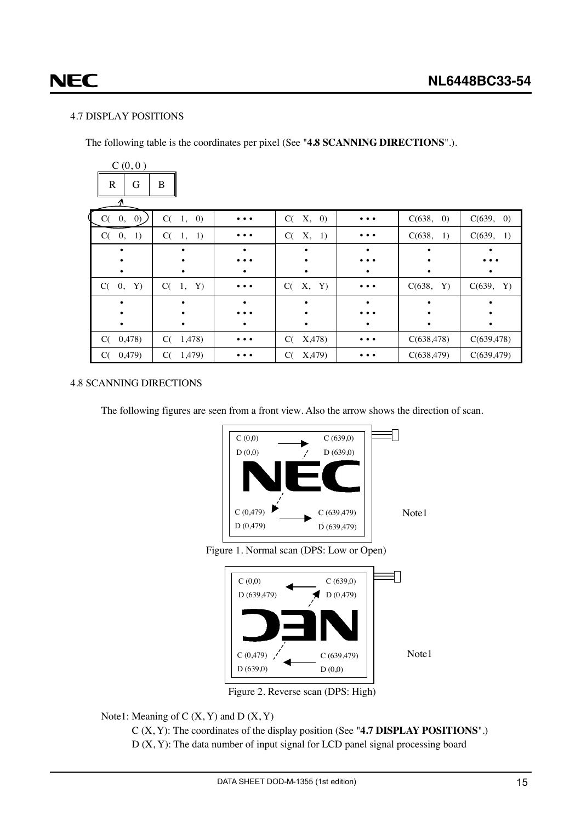# <span id="page-14-0"></span>**NEC**

#### 4.7 DISPLAY POSITIONS

The following table is the coordinates per pixel (See "**4.8 SCANNING DIRECTIONS**".).

| C(0,0)<br>G<br>$\mathbb{R}$<br>$\pi$ | $\bf{B}$                     |                         |              |          |             |             |
|--------------------------------------|------------------------------|-------------------------|--------------|----------|-------------|-------------|
| $C(-0, 0)$                           | $C(-1,$<br>$\left( 0\right)$ | $\bullet\bullet\bullet$ | X, 0)<br>C(  |          | C(638, 0)   | C(639, 0)   |
| C(0, 1)                              | $C(-1,$<br>1)                | $\cdots$                | X, 1)<br>C(  |          | C(638, 1)   | C(639, 1)   |
|                                      |                              | ٠                       |              | ٠        |             |             |
|                                      |                              |                         |              |          |             |             |
|                                      |                              |                         | ٠            |          |             | ٠           |
| $C(-0,$<br>Y)                        | C(1, Y)                      | $\cdots$                | X, Y)<br>C(  | $\cdots$ | C(638, Y)   | C(639, Y)   |
|                                      |                              |                         |              |          |             |             |
|                                      |                              |                         |              |          |             |             |
|                                      |                              | ٠                       | ٠            |          |             | ٠           |
| 0,478)<br>C(                         | C(1,478)                     | $\cdots$                | X,478)<br>C( | $\cdots$ | C(638, 478) | C(639, 478) |
| 0,479)<br>C(                         | C(<br>1,479)                 |                         | X,479<br>C(  |          | C(638, 479) | C(639, 479) |

#### 4.8 SCANNING DIRECTIONS

The following figures are seen from a front view. Also the arrow shows the direction of scan.



Figure 2. Reverse scan (DPS: High)

Note1: Meaning of  $C(X, Y)$  and  $D(X, Y)$ 

C (X, Y): The coordinates of the display position (See "**4.7 DISPLAY POSITIONS**".)  $D(X, Y)$ : The data number of input signal for LCD panel signal processing board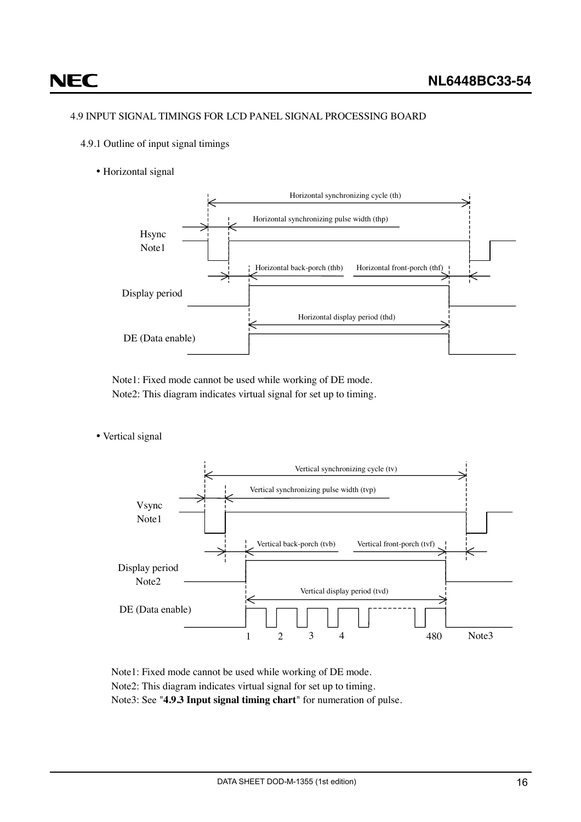#### <span id="page-15-0"></span>4.9 INPUT SIGNAL TIMINGS FOR LCD PANEL SIGNAL PROCESSING BOARD

- 4.9.1 Outline of input signal timings
	- Horizontal signal



Note1: Fixed mode cannot be used while working of DE mode. Note2: This diagram indicates virtual signal for set up to timing.

• Vertical signal



Note1: Fixed mode cannot be used while working of DE mode. Note2: This diagram indicates virtual signal for set up to timing. Note3: See "**4.9.3 Input signal timing chart**" for numeration of pulse.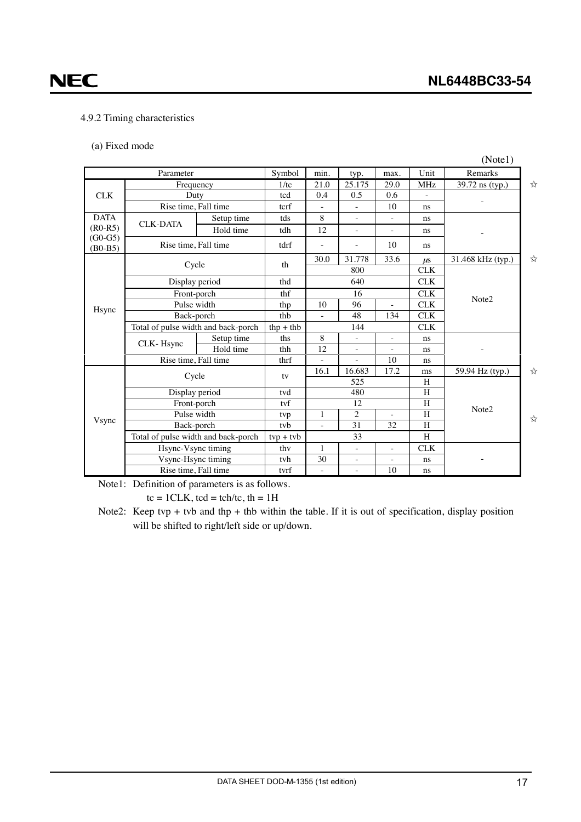## <span id="page-16-0"></span>**NEC**

#### 4.9.2 Timing characteristics

(a) Fixed mode

|                        |                                     |                                     |                          |                          |                          |                          |                   | (Note1)           |   |
|------------------------|-------------------------------------|-------------------------------------|--------------------------|--------------------------|--------------------------|--------------------------|-------------------|-------------------|---|
| Parameter              |                                     |                                     | Symbol                   | min.                     | typ.                     | max.                     | Unit              | Remarks           |   |
| Frequency              |                                     |                                     | 1/tc                     | 21.0                     | 25.175                   | 29.0                     | <b>MHz</b>        | 39.72 ns (typ.)   | ☆ |
| <b>CLK</b>             | Duty                                | tcd                                 | 0.4                      | 0.5                      | 0.6                      |                          |                   |                   |   |
|                        | Rise time, Fall time                |                                     | tcrf                     |                          |                          | 10                       | ns.               |                   |   |
| <b>DATA</b>            |                                     | Setup time                          | tds                      | 8                        | ÷.                       | $\bar{a}$                | ns.               |                   |   |
| $(R0-R5)$              | <b>CLK-DATA</b>                     | Hold time                           | tdh                      | 12                       | $\bar{a}$                | ٠                        | ns                |                   |   |
| $(G0-G5)$<br>$(B0-B5)$ | Rise time, Fall time                |                                     | tdrf                     | L,                       | $\overline{\phantom{a}}$ | 10                       | ns                |                   |   |
|                        |                                     |                                     | th                       | 30.0                     | 31.778                   | 33.6                     | $\mu$ s           | 31.468 kHz (typ.) | ☆ |
|                        | Cycle                               |                                     |                          |                          | 800                      |                          | CLK               |                   |   |
|                        | Display period                      |                                     | thd                      |                          | 640                      |                          | <b>CLK</b>        |                   |   |
|                        | Front-porch                         | thf                                 | 16                       |                          |                          | <b>CLK</b>               | Note <sub>2</sub> |                   |   |
| Hsync                  | Pulse width                         |                                     | thp                      | 10                       | 96                       | $\bar{a}$                | <b>CLK</b>        |                   |   |
|                        | Back-porch                          | thb                                 | ÷,                       | 48                       | 134                      | <b>CLK</b>               |                   |                   |   |
|                        | Total of pulse width and back-porch | $thp + thb$                         | 144                      |                          |                          | <b>CLK</b>               |                   |                   |   |
|                        | CLK-Hsync                           | Setup time                          | ths                      | 8                        | $\frac{1}{2}$            | $\overline{\phantom{a}}$ | ns                |                   |   |
|                        |                                     | Hold time                           | thh                      | 12                       |                          |                          | ns                |                   |   |
|                        | Rise time, Fall time                |                                     | thrf                     |                          |                          | 10                       | ns                |                   |   |
|                        | Cycle                               |                                     | tv                       | 16.1                     | 16.683                   | 17.2                     | ms                | 59.94 Hz (typ.)   | ☆ |
|                        |                                     |                                     |                          |                          | 525                      |                          | H                 |                   |   |
|                        | Display period                      |                                     | tvd                      | 480                      |                          |                          | H                 |                   |   |
|                        | Front-porch                         |                                     | tyf                      |                          | 12                       |                          | H                 | Note2             |   |
| Vsync                  | Pulse width                         |                                     | tvp<br>tyb               | $\mathbf{1}$             | $\overline{c}$           | $\overline{\phantom{a}}$ | $\rm H$           |                   | ☆ |
|                        |                                     | Back-porch                          |                          | $\overline{a}$           | 31                       | 32                       | H                 |                   |   |
|                        |                                     | Total of pulse width and back-porch |                          |                          | 33                       |                          | H                 |                   |   |
|                        |                                     | Hsync-Vsync timing                  |                          |                          | $\overline{\phantom{0}}$ | $\overline{\phantom{a}}$ | <b>CLK</b>        |                   |   |
|                        | Vsync-Hsync timing                  |                                     | tvh                      | 30                       | $\overline{\phantom{a}}$ | ÷.                       | ns                |                   |   |
|                        | Rise time, Fall time                | tvrf                                | $\overline{\phantom{a}}$ | $\overline{\phantom{0}}$ | 10                       | ns                       |                   |                   |   |

Note1: Definition of parameters is as follows.

 $tc = 1CLK$ ,  $tcd = tch/tc$ ,  $th = 1H$ 

Note2: Keep tvp + tvb and thp + thb within the table. If it is out of specification, display position will be shifted to right/left side or up/down.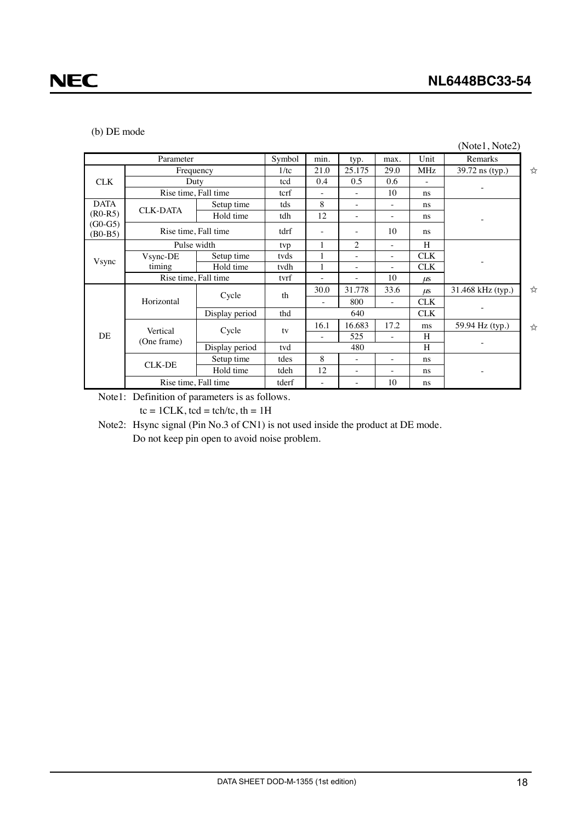#### (b) DE mode

|                          |                      |                |        |                     |                          |                          |            | (Note1, Note2)    |   |
|--------------------------|----------------------|----------------|--------|---------------------|--------------------------|--------------------------|------------|-------------------|---|
|                          | Parameter            |                | Symbol | min.                | typ.                     | max.                     | Unit       | Remarks           |   |
|                          |                      | Frequency      | 1/tc   | 21.0                | 25.175                   | 29.0                     | MHz        | 39.72 ns (typ.)   | ☆ |
| <b>CLK</b>               |                      | Duty           | tcd    | 0.4                 | 0.5                      | 0.6                      |            |                   |   |
|                          | Rise time, Fall time |                | tcrf   | $\bar{\phantom{a}}$ |                          | 10                       | ns         |                   |   |
| <b>DATA</b>              | <b>CLK-DATA</b>      | Setup time     | tds    | 8                   | $\overline{\phantom{a}}$ | $\overline{\phantom{a}}$ | ns         |                   |   |
| $(R0-R5)$                |                      | Hold time      | tdh    | 12                  | $\sim$                   | $\overline{\phantom{a}}$ | ns         |                   |   |
| $(G0-G5)$<br>$(B0 - B5)$ | Rise time, Fall time |                | tdrf   |                     |                          | 10                       | ns         |                   |   |
|                          | Pulse width          |                | tvp    |                     | $\overline{2}$           |                          | H          |                   |   |
| Vsync                    | Vsync-DE             | Setup time     | tvds   |                     | $\overline{\phantom{a}}$ | $\overline{\phantom{a}}$ | <b>CLK</b> |                   |   |
|                          | timing               | Hold time      | tvdh   |                     | ۰                        | ۰                        | <b>CLK</b> |                   |   |
| Rise time, Fall time     |                      |                | tvrf   |                     |                          | 10                       | $\mu$ s    |                   |   |
|                          |                      |                | th     | 30.0                | 31.778                   | 33.6                     | $\mu$ s    | 31.468 kHz (typ.) | ☆ |
|                          | Horizontal           | Cycle          |        | ÷                   | 800                      | $\overline{\phantom{a}}$ | <b>CLK</b> |                   |   |
|                          |                      | Display period | thd    |                     | 640                      |                          | <b>CLK</b> |                   |   |
|                          | Vertical             |                | tv     | 16.1                | 16.683                   | 17.2                     | ms         | 59.94 Hz (typ.)   | ☆ |
| DE                       | (One frame)          | Cycle          |        | ä,                  | 525                      | $\overline{\phantom{a}}$ | H          |                   |   |
|                          |                      | Display period | tvd    |                     | 480                      |                          | H          |                   |   |
|                          | <b>CLK-DE</b>        | Setup time     | tdes   | 8                   |                          | $\overline{\phantom{a}}$ | ns         |                   |   |
|                          |                      | Hold time      | tdeh   | 12                  | $\overline{\phantom{a}}$ | $\sim$                   | ns         |                   |   |
| Rise time, Fall time     |                      |                | tderf  | ۰                   |                          | 10                       | ns         |                   |   |

Note1: Definition of parameters is as follows.

 $tc = 1CLK$ ,  $tcd = tch/tc$ ,  $th = 1H$ 

Note2: Hsync signal (Pin No.3 of CN1) is not used inside the product at DE mode.

Do not keep pin open to avoid noise problem.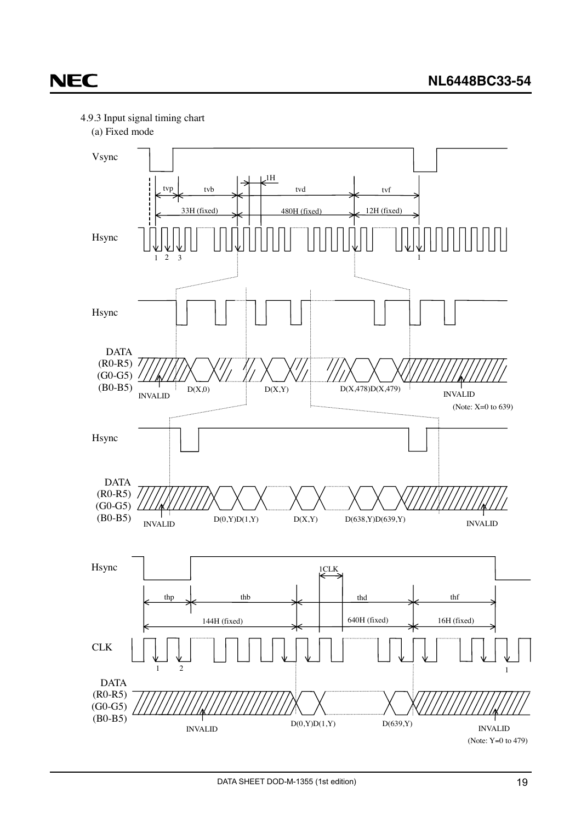<span id="page-18-0"></span>



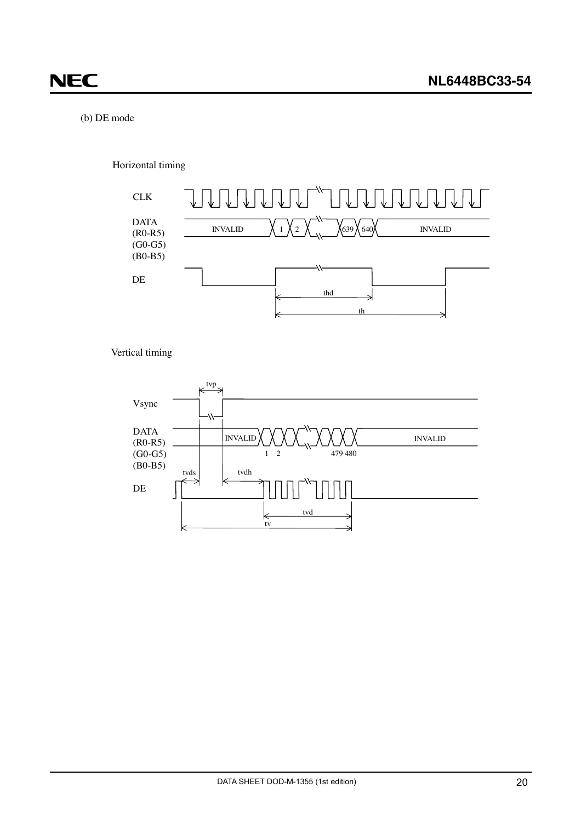#### (b) DE mode

Horizontal timing



Vertical timing

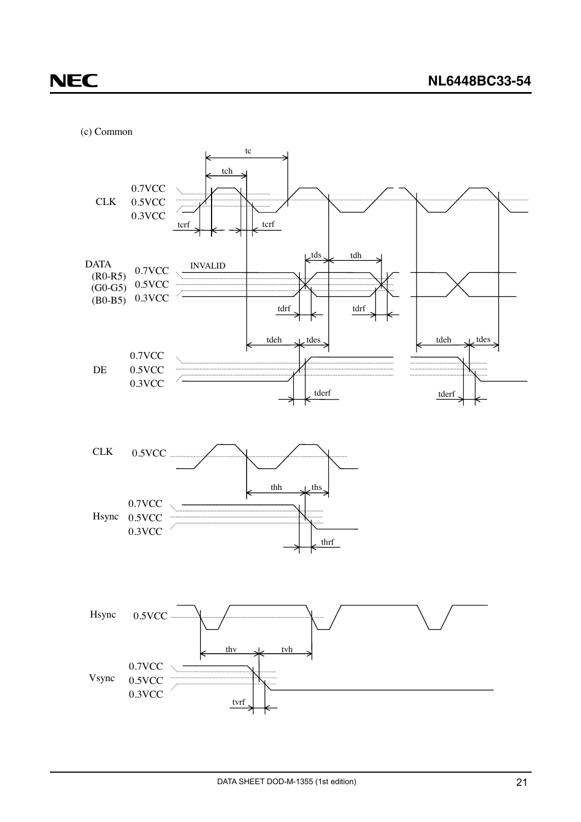(c) Common

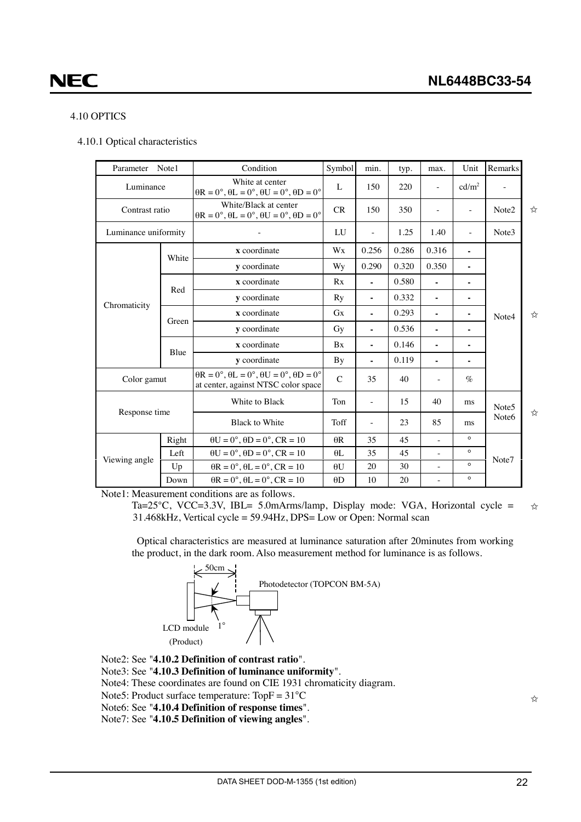#### <span id="page-21-0"></span>4.10 OPTICS

4.10.1 Optical characteristics

| Parameter            | Note1 | Condition                                                                                                 | Symbol      | min.                     | typ.  | max.           | Unit              | Remarks           |   |
|----------------------|-------|-----------------------------------------------------------------------------------------------------------|-------------|--------------------------|-------|----------------|-------------------|-------------------|---|
| Luminance            |       | White at center<br>$\theta$ R = 0°, $\theta$ L = 0°, $\theta$ U = 0°, $\theta$ D = 0°                     |             | 150                      | 220   |                | cd/m <sup>2</sup> |                   |   |
| Contrast ratio       |       | White/Black at center<br>$\theta$ R = 0°, $\theta$ L = 0°, $\theta$ U = 0°, $\theta$ D = 0°               | CR          | 150                      | 350   |                | ÷,                | Note2             | ☆ |
| Luminance uniformity |       |                                                                                                           | LU          |                          | 1.25  | 1.40           | ÷,                | Note3             |   |
|                      | White | x coordinate                                                                                              | Wx          | 0.256                    | 0.286 | 0.316          | ä,                |                   |   |
|                      |       | y coordinate                                                                                              | Wy          | 0.290                    | 0.320 | 0.350          | ٠                 |                   |   |
|                      |       | x coordinate                                                                                              | Rx          | $\blacksquare$           | 0.580 | $\blacksquare$ | $\blacksquare$    |                   |   |
|                      | Red   | y coordinate                                                                                              | Ry          | $\blacksquare$           | 0.332 | $\blacksquare$ |                   |                   |   |
| Chromaticity         |       | x coordinate                                                                                              | Gx          | $\blacksquare$           | 0.293 | $\blacksquare$ | ٠                 | Note4             | ☆ |
|                      | Green | y coordinate<br>Gy                                                                                        |             | $\blacksquare$           | 0.536 |                |                   |                   |   |
|                      |       | x coordinate                                                                                              | <b>Bx</b>   | $\blacksquare$           | 0.146 | $\blacksquare$ | ٠                 |                   |   |
|                      | Blue  | y coordinate                                                                                              | By          | $\blacksquare$           | 0.119 | $\blacksquare$ |                   |                   |   |
| Color gamut          |       | $\theta$ R = 0°, $\theta$ L = 0°, $\theta$ U = 0°, $\theta$ D = 0°<br>at center, against NTSC color space | $\mathbf C$ | 35                       | 40    |                | $\%$              |                   |   |
|                      |       | White to Black                                                                                            | Ton         | $\overline{\phantom{a}}$ | 15    | 40             | ms                | Note <sub>5</sub> |   |
| Response time        |       | <b>Black to White</b>                                                                                     | Toff        |                          | 23    | 85             | ms                | Note <sub>6</sub> | ☆ |
|                      | Right | $\theta U = 0^\circ$ , $\theta D = 0^\circ$ , $CR = 10$                                                   | $\theta$ R  | 35                       | 45    |                | $\circ$           |                   |   |
| Viewing angle        | Left  | $\theta U = 0^\circ$ , $\theta D = 0^\circ$ , $CR = 10$                                                   | $\theta$ L  | 35                       | 45    | ÷,             | $\circ$           | Note7             |   |
|                      | Up    | $\theta$ R = 0°, $\theta$ L = 0°, CR = 10                                                                 | $\theta U$  | 20                       | 30    | $\frac{1}{2}$  | $\circ$           |                   |   |
|                      | Down  | $\theta$ R = 0°, $\theta$ L = 0°, CR = 10                                                                 |             | 10                       | 20    |                | $\circ$           |                   |   |

Note1: Measurement conditions are as follows.

Ta=25°C, VCC=3.3V, IBL= 5.0mArms/lamp, Display mode: VGA, Horizontal cycle = 31.468kHz, Vertical cycle = 59.94Hz, DPS= Low or Open: Normal scan  $x^2$ 

Optical characteristics are measured at luminance saturation after 20minutes from working the product, in the dark room. Also measurement method for luminance is as follows.



- Note2: See "**4.10.2 Definition of contrast ratio**".
- Note3: See "**4.10.3 Definition of luminance uniformity**".
- Note4: These coordinates are found on CIE 1931 chromaticity diagram.
- Note5: Product surface temperature:  $TopF = 31^{\circ}C$
- Note6: See "**4.10.4 Definition of response times**".
- Note7: See "**4.10.5 Definition of viewing angles**".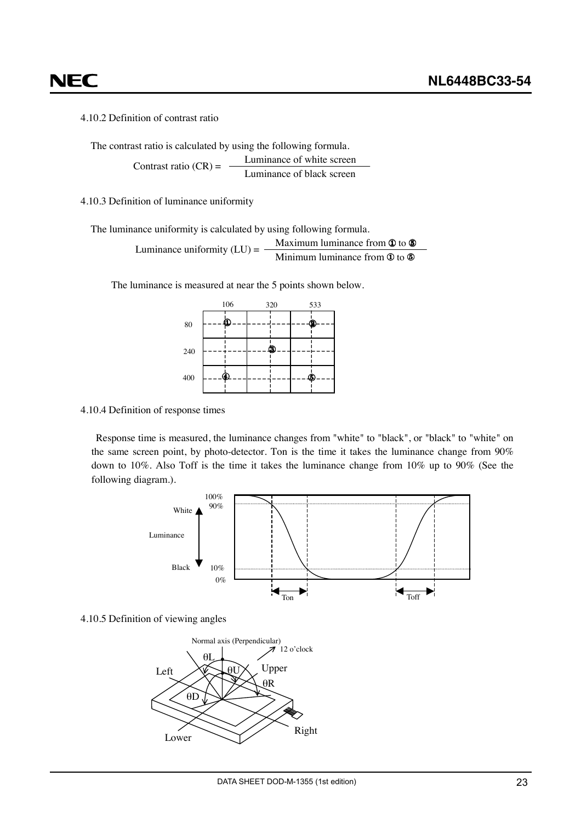### <span id="page-22-0"></span>NEC

4.10.2 Definition of contrast ratio

The contrast ratio is calculated by using the following formula.

Luminance of white screen Luminance of black screen Contrast ratio  $(CR)$  =

#### 4.10.3 Definition of luminance uniformity

The luminance uniformity is calculated by using following formula.

Luminance uniformity (LU) = 
$$
\frac{\text{Maximum luminance from } \Phi \text{ to } \Phi}{\text{Minimum luminance from } \Phi \text{ to } \Phi}
$$

The luminance is measured at near the 5 points shown below.



#### 4.10.4 Definition of response times

Response time is measured, the luminance changes from "white" to "black", or "black" to "white" on the same screen point, by photo-detector. Ton is the time it takes the luminance change from 90% down to 10%. Also Toff is the time it takes the luminance change from 10% up to 90% (See the following diagram.).



4.10.5 Definition of viewing angles

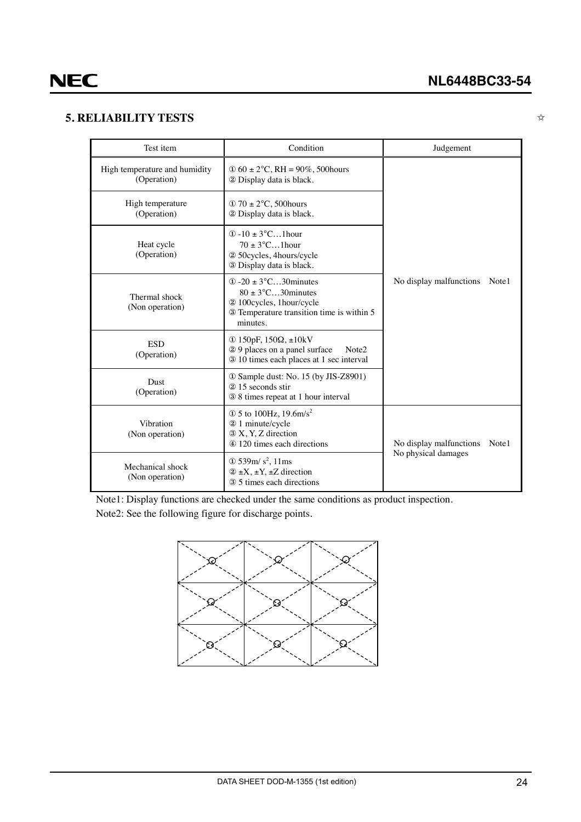#### <span id="page-23-0"></span>**5. RELIABILITY TESTS**

✩

| Test item                                    | Condition                                                                                                                                           | Judgement                        |  |  |
|----------------------------------------------|-----------------------------------------------------------------------------------------------------------------------------------------------------|----------------------------------|--|--|
| High temperature and humidity<br>(Operation) | $\Phi$ 60 ± 2°C, RH = 90%, 500 hours<br>2 Display data is black.                                                                                    |                                  |  |  |
| High temperature<br>(Operation)              | $\textcircled{1}$ 70 $\pm$ 2°C, 500 hours<br>2 Display data is black.                                                                               |                                  |  |  |
| Heat cycle<br>(Operation)                    | $(1) - 10 \pm 3$ °C1 hour<br>$70 \pm 3^{\circ}$ C1 hour<br>2 50 cycles, 4 hours/cycle<br>3 Display data is black.                                   |                                  |  |  |
| Thermal shock<br>(Non operation)             | $\Omega$ -20 ± 3°C30 minutes<br>$80 \pm 3^{\circ}$ C30 minutes<br>2 100cycles, 1hour/cycle<br>3 Temperature transition time is within 5<br>minutes. | No display malfunctions<br>Note1 |  |  |
| <b>ESD</b><br>(Operation)                    | ① 150pF, $150Ω$ , $±10kV$<br>29 places on a panel surface<br>Note <sub>2</sub><br>3 10 times each places at 1 sec interval                          |                                  |  |  |
| Dust<br>(Operation)                          | 10 Sample dust: No. 15 (by JIS-Z8901)<br>2 15 seconds stir<br>3 8 times repeat at 1 hour interval                                                   |                                  |  |  |
| Vibration<br>(Non operation)                 | $\Phi$ 5 to 100Hz, 19.6m/s <sup>2</sup><br>2 1 minute/cycle<br>3 X, Y, Z direction<br>4 120 times each directions                                   | No display malfunctions<br>Note1 |  |  |
| Mechanical shock<br>(Non operation)          | No physical damages<br>$\Phi$ 539m/s <sup>2</sup> , 11ms<br>$(2 \pm X, \pm Y, \pm Z)$ direction<br>3 5 times each directions                        |                                  |  |  |

Note1: Display functions are checked under the same conditions as product inspection.

Note2: See the following figure for discharge points.

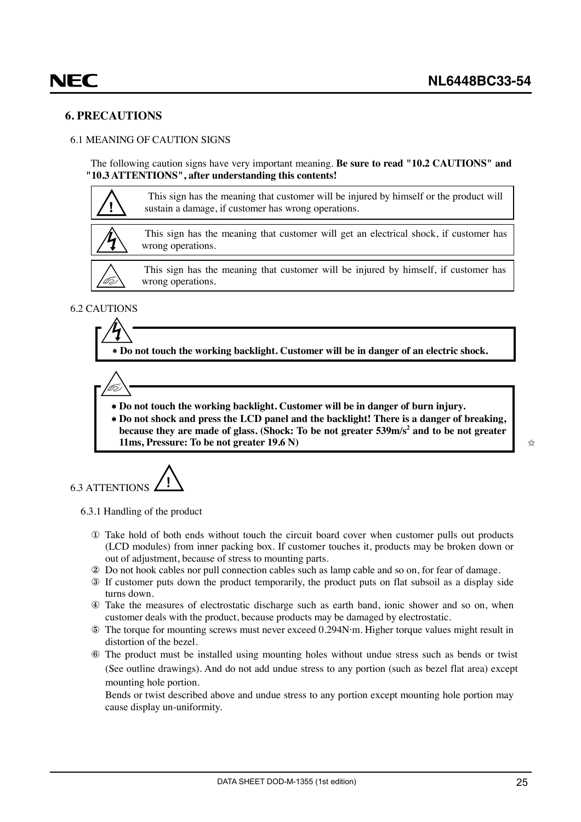#### <span id="page-24-0"></span>**6. PRECAUTIONS**

#### 6.1 MEANING OF CAUTION SIGNS

The following caution signs have very important meaning. **Be sure to read "10.2 CAUTIONS" and "10.3 ATTENTIONS", after understanding this contents!**



#### 6.2 CAUTIONS

∗ **Do not touch the working backlight. Customer will be in danger of an electric shock.**

Võ

- ∗ **Do not touch the working backlight. Customer will be in danger of burn injury.**
- ∗ **Do not shock and press the LCD panel and the backlight! There is a danger of breaking,** because they are made of glass. (Shock: To be not greater **539m/s<sup>2</sup> and to be not greater 11ms, Pressure: To be not greater 19.6 N)**

6.3 ATTENTIONS **!**

6.3.1 Handling of the product

- ① Take hold of both ends without touch the circuit board cover when customer pulls out products (LCD modules) from inner packing box. If customer touches it, products may be broken down or out of adjustment, because of stress to mounting parts.
- ② Do not hook cables nor pull connection cables such as lamp cable and so on, for fear of damage.
- ③ If customer puts down the product temporarily, the product puts on flat subsoil as a display side turns down.
- ④ Take the measures of electrostatic discharge such as earth band, ionic shower and so on, when customer deals with the product, because products may be damaged by electrostatic.
- ⑤ The torque for mounting screws must never exceed 0.294N⋅m. Higher torque values might result in distortion of the bezel.
- ⑥ The product must be installed using mounting holes without undue stress such as bends or twist (See outline drawings). And do not add undue stress to any portion (such as bezel flat area) except mounting hole portion.

Bends or twist described above and undue stress to any portion except mounting hole portion may cause display un-uniformity.

✩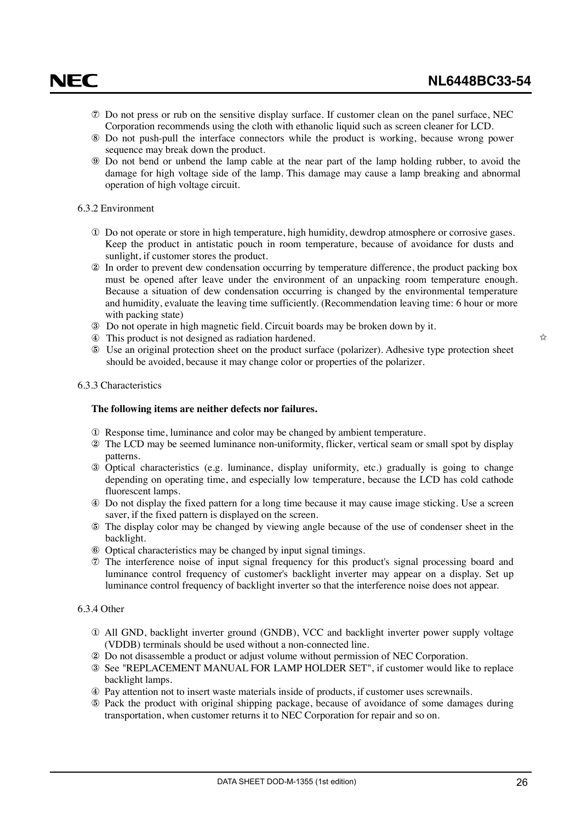- <span id="page-25-0"></span>⑦ Do not press or rub on the sensitive display surface. If customer clean on the panel surface, NEC Corporation recommends using the cloth with ethanolic liquid such as screen cleaner for LCD.
- ⑧ Do not push-pull the interface connectors while the product is working, because wrong power sequence may break down the product.
- ⑨ Do not bend or unbend the lamp cable at the near part of the lamp holding rubber, to avoid the damage for high voltage side of the lamp. This damage may cause a lamp breaking and abnormal operation of high voltage circuit.

#### 6.3.2 Environment

- ① Do not operate or store in high temperature, high humidity, dewdrop atmosphere or corrosive gases. Keep the product in antistatic pouch in room temperature, because of avoidance for dusts and sunlight, if customer stores the product.
- ② In order to prevent dew condensation occurring by temperature difference, the product packing box must be opened after leave under the environment of an unpacking room temperature enough. Because a situation of dew condensation occurring is changed by the environmental temperature and humidity, evaluate the leaving time sufficiently. (Recommendation leaving time: 6 hour or more with packing state)
- ③ Do not operate in high magnetic field. Circuit boards may be broken down by it.
- ④ This product is not designed as radiation hardened.
- ⑤ Use an original protection sheet on the product surface (polarizer). Adhesive type protection sheet should be avoided, because it may change color or properties of the polarizer.

#### 6.3.3 Characteristics

#### **The following items are neither defects nor failures.**

- ① Response time, luminance and color may be changed by ambient temperature.
- ② The LCD may be seemed luminance non-uniformity, flicker, vertical seam or small spot by display patterns.
- ③ Optical characteristics (e.g. luminance, display uniformity, etc.) gradually is going to change depending on operating time, and especially low temperature, because the LCD has cold cathode fluorescent lamps.
- ④ Do not display the fixed pattern for a long time because it may cause image sticking. Use a screen saver, if the fixed pattern is displayed on the screen.
- ⑤ The display color may be changed by viewing angle because of the use of condenser sheet in the backlight.
- ⑥ Optical characteristics may be changed by input signal timings.
- ⑦ The interference noise of input signal frequency for this product's signal processing board and luminance control frequency of customer's backlight inverter may appear on a display. Set up luminance control frequency of backlight inverter so that the interference noise does not appear.

#### 6.3.4 Other

- ① All GND, backlight inverter ground (GNDB), VCC and backlight inverter power supply voltage (VDDB) terminals should be used without a non-connected line.
- ② Do not disassemble a product or adjust volume without permission of NEC Corporation.
- ③ See "REPLACEMENT MANUAL FOR LAMP HOLDER SET", if customer would like to replace backlight lamps.
- ④ Pay attention not to insert waste materials inside of products, if customer uses screwnails.
- ⑤ Pack the product with original shipping package, because of avoidance of some damages during transportation, when customer returns it to NEC Corporation for repair and so on.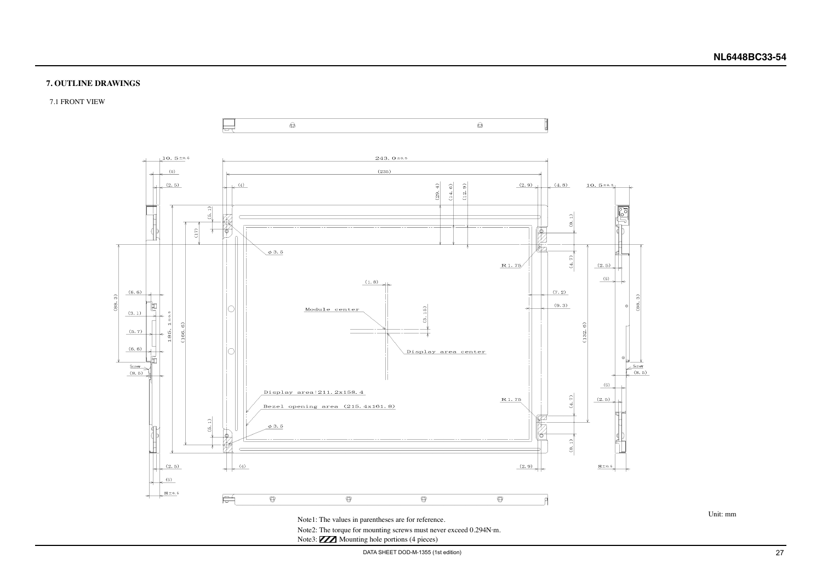### **NL6448BC33-54**

DATA SHEET DOD-M-1355 (1st edition) 27

#### <span id="page-26-0"></span>**7. OUTLINE DRAWINGS**

7.1 FRONT VIEW

Unit: mm



Note3: **XXX** Mounting hole portions (4 pieces)